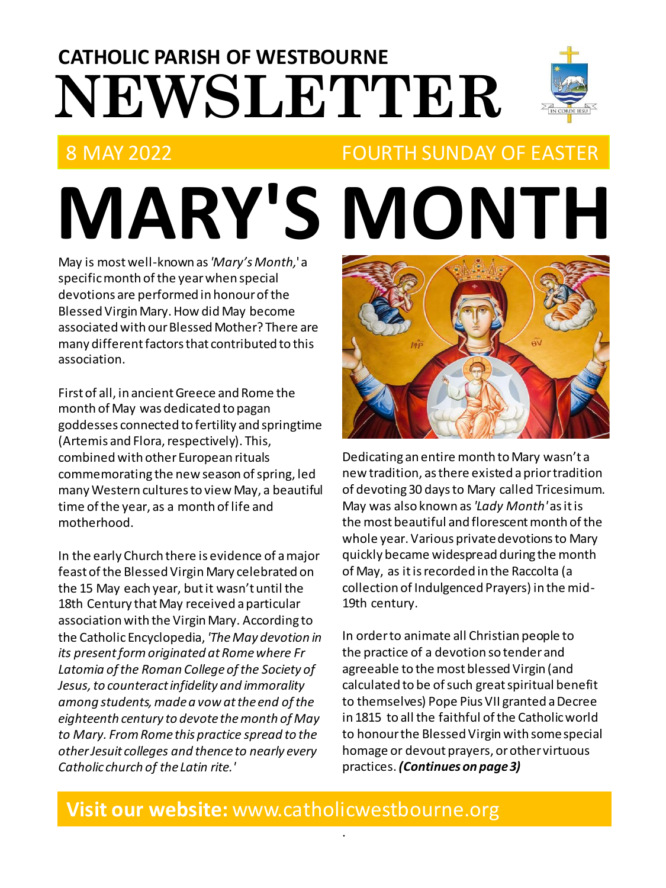# **NEWSLETTER CATHOLIC PARISH OF WESTBOURNE**



### 8 MAY 2022 FOURTH SUNDAY OF EASTER

**MARY'S MONTH** May is most well-known as *'Mary's Month,*' a specific month of the year when special devotions are performed in honour of the Blessed Virgin Mary. How did May become associated with our Blessed Mother? There are many different factors that contributed to this association.

First of all, in ancient Greece and Rome the month of May was dedicated to pagan goddesses connected to fertility and springtime (Artemis and Flora, respectively). This, combined with other European rituals commemorating the new season of spring, led many Western cultures to view May, a beautiful time of the year, as a month of life and motherhood.

In the early Church there is evidence of a major feast of the Blessed Virgin Mary celebrated on the 15 May each year, but it wasn't until the 18th Century that May received a particular association with the Virgin Mary. According to the Catholic Encyclopedia, *'The May devotion in its present form originated at Rome where Fr Latomia of the Roman College of the Society of Jesus, to counteract infidelity and immorality among students, made a vow at the end of the eighteenth century to devote the month of May to Mary. From Rome this practice spread to the other Jesuit colleges and thence to nearly every Catholic church of the Latin rite.'*



Dedicating an entire month to Mary wasn't a new tradition, as there existed a prior tradition of devoting 30 days to Mary called Tricesimum. May was also known as *'Lady Month'* asitis the most beautiful and florescent month of the whole year. Various private devotions to Mary quickly became widespread during the month of May, as it isrecorded in the Raccolta (a collection of Indulgenced Prayers) in the mid-19th century.

In order to animate all Christian people to the practice of a devotion so tender and agreeable to the most blessed Virgin (and calculated to be of such great spiritual benefit to themselves) Pope Pius VII granted a Decree in 1815 to all the faithful of the Catholic world to honour the Blessed Virgin with some special homage or devout prayers, or other virtuous practices. *(Continues on page 3)*

### **Visit our website:** www.catholicwestbourne.org

.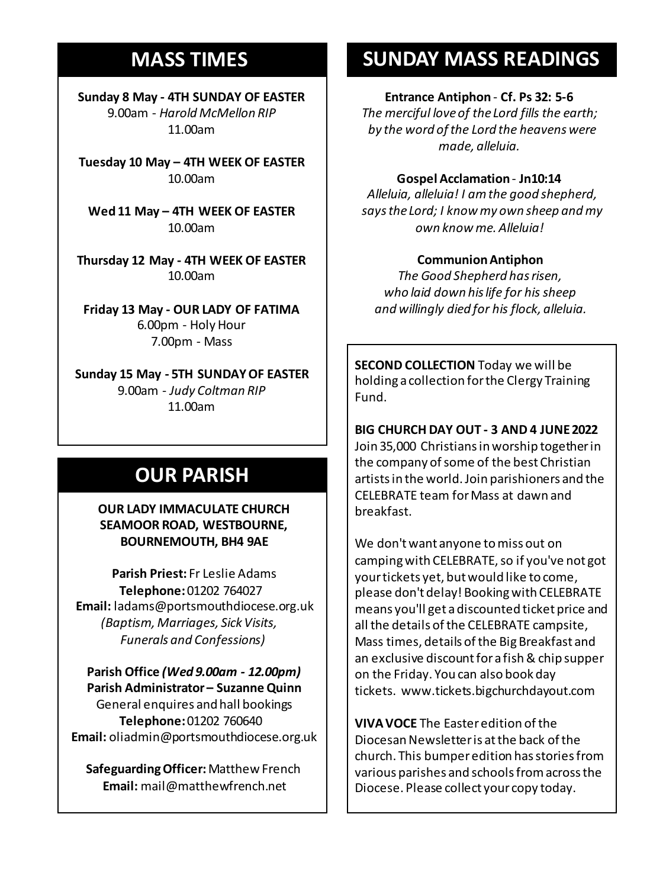### **MASS TIMES**

**Sunday 8 May - 4TH SUNDAY OF EASTER** 9.00am - *Harold McMellon RIP* 11.00am

**Tuesday 10 May – 4TH WEEK OF EASTER** 10.00am

**Sunday 11th 9am:** *The Parish* **Wed 11 May – 4TH WEEK OF EASTER 11am** *Tim Mc Cann* 10.00am

**Wednesday 14th** *Repose of the souls of Bernard Charles and Elsie May Pratt* **Thursday 12 May - 4TH WEEK OF EASTER Saturday 16th** *Rosemarie Schofield RIP* 10.00am

**Sunday 18th 11am** *The Parish*  **Friday 13 May - OUR LADY OF FATIMA** 6.00pm - Holy Hour 7.00pm - Mass

**Sunday 15 May - 5TH SUNDAY OF EASTER** 9.00am - *Judy Coltman RIP* 11.00am

## **OUR PARISH**

**OUR LADY IMMACULATE CHURCH SEAMOOR ROAD, WESTBOURNE, BOURNEMOUTH, BH4 9AE**

**Parish Priest:** Fr Leslie Adams **Telephone:**01202 764027 **Email:** ladams@portsmouthdiocese.org.uk *(Baptism, Marriages, Sick Visits, Funerals and Confessions)*

**Parish Office** *(Wed 9.00am - 12.00pm)* **Parish Administrator – Suzanne Quinn** General enquires andhall bookings **Telephone:**01202 760640 **Email:** oliadmin@portsmouthdiocese.org.uk

**Safeguarding Officer:**Matthew French **Email:** mail@matthewfrench.net

### **SUNDAY MASS READINGS**

### **Entrance Antiphon** - **Cf. Ps 32: 5-6**

*The merciful love of the Lord fills the earth; by the word of the Lord the heavens were made, alleluia.* 

### **Gospel Acclamation**- **Jn10:14**

*Alleluia, alleluia! I am the good shepherd, says the Lord; I know my own sheep and my own know me. Alleluia!* 

### **Communion Antiphon**

*The Good Shepherd has risen, who laid down his life for his sheep and willingly died for his flock, alleluia.*

**SECOND COLLECTION** Today we will be holding a collection for the Clergy Training Fund.

**BIG CHURCH DAY OUT - 3 AND 4 JUNE 2022**

Join 35,000 Christians in worship together in the company of some of the best Christian artists in the world. Join parishioners and the CELEBRATE team for Mass at dawn and breakfast.

We don't want anyone to miss out on camping with CELEBRATE, so if you've not got your tickets yet, but would like to come, please don't delay! Booking with CELEBRATE means you'll get a discounted ticket price and all the details of the CELEBRATE campsite, Mass times, details of the Big Breakfast and an exclusive discount for a fish & chip supper on the Friday. You can also book day tickets. www.tickets.bigchurchdayout.com

**VIVA VOCE** The Easter edition of the Diocesan Newsletter is at the back of the church. This bumper edition has stories from various parishes and schools from across the Diocese. Please collect your copy today.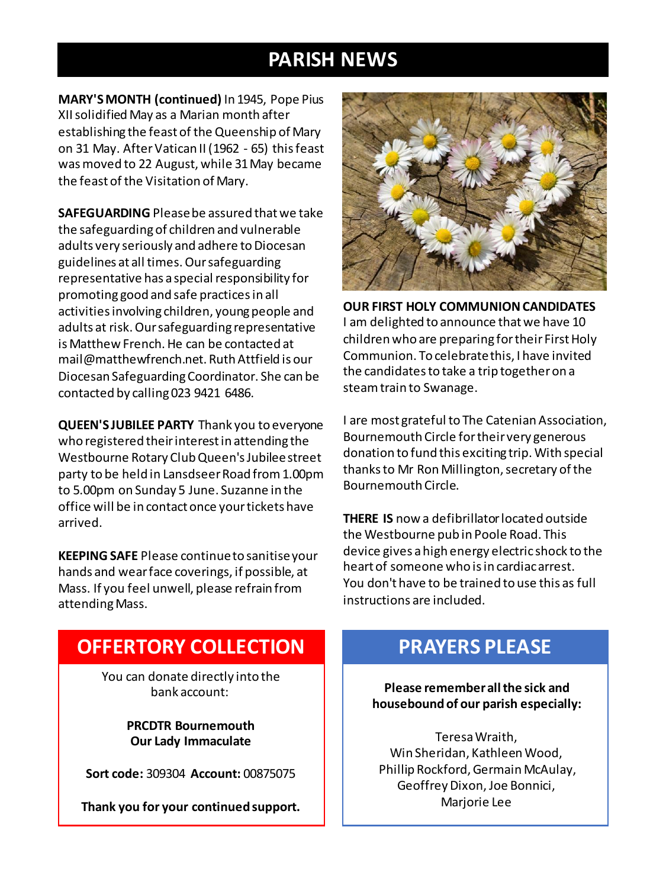### **PARISH NEWS**

**MARY'S MONTH (continued)** In 1945, Pope Pius XII solidified May as a Marian month after establishing the feast of the Queenship of Mary on 31 May. AfterVatican II (1962 - 65) this feast was moved to 22 August, while 31 May became the feast of the Visitation of Mary.

**SAFEGUARDING** Please be assured that we take the safeguarding of children and vulnerable adults very seriously and adhere to Diocesan guidelines at all times. Our safeguarding representative has a special responsibility for promoting good and safe practices in all activities involving children, young people and adults at risk. Our safeguarding representative is Matthew French. He can be contacted at mail@matthewfrench.net. Ruth Attfield is our Diocesan Safeguarding Coordinator. She can be contacted by calling 023 9421 6486.

**QUEEN'S JUBILEE PARTY** Thank you to everyone who registered their interest in attending the Westbourne Rotary Club Queen's Jubilee street party to be held in LansdseerRoad from 1.00pm to 5.00pm on Sunday 5 June. Suzanne in the office will be in contact once your tickets have arrived.

**KEEPING SAFE** Please continue to sanitise your hands and wear face coverings, if possible, at Mass. If you feel unwell, please refrain from attending Mass.



**OUR FIRST HOLY COMMUNION CANDIDATES** I am delighted to announce that we have 10 children who are preparing for their First Holy Communion. To celebrate this, I have invited the candidates to take a trip together on a steam train to Swanage.

I are most grateful to The Catenian Association, Bournemouth Circle for their very generous donation to fund this exciting trip. With special thanks to Mr Ron Millington, secretary of the Bournemouth Circle.

**THERE IS** now a defibrillator located outside the Westbourne pub in Poole Road. This device gives a high energy electric shock to the heart of someone who is in cardiac arrest. You don't have to be trained to use this as full instructions are included.

### **OFFERTORY COLLECTION**

You can donate directly into the bank account:

> **PRCDTR Bournemouth Our Lady Immaculate**

**Sort code:** 309304 **Account:** 00875075

**Thank you for your continued support.**

### **PRAYERS PLEASE**

**Please remember all the sick and housebound of our parish especially:**

Teresa Wraith, Win Sheridan, Kathleen Wood, Phillip Rockford, Germain McAulay, Geoffrey Dixon, Joe Bonnici, Marjorie Lee